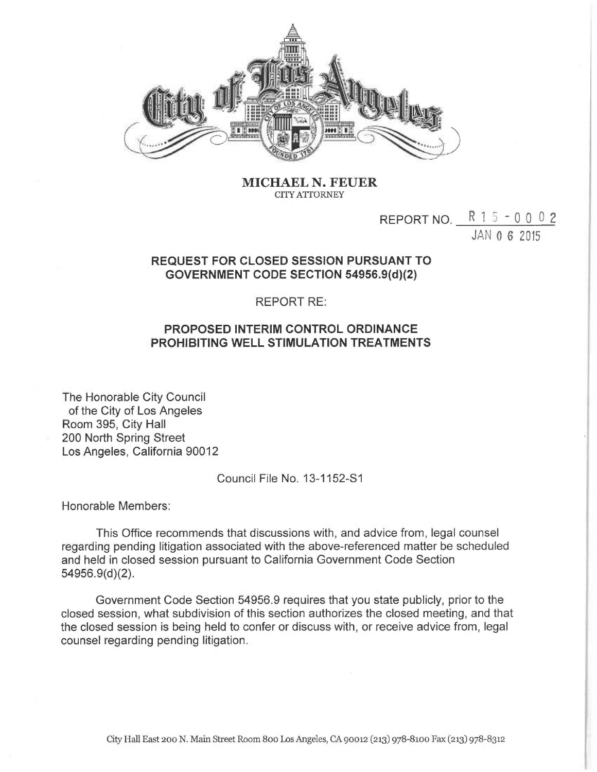

MICHAEL N. FEUER CITY ATTORNEY

## REPORT NO.  $R$  1 5 - 0 0 0 2

JAN 0 6 2015

## REQUEST FOR CLOSED SESSION PURSUANT TO GOVERNMENT CODE SECTION 54956.9(d)(2)

## REPORT RE:

## PROPOSED INTERIM CONTROL ORDINANCE PROHIBITING WELL STIMULATION TREATMENTS

The Honorable City Council of the City of Los Angeles Room 395, City Hall 200 North Spring Street Los Angeles, California 90012

Council File No. 13-1152-S1

Honorable Members:

This Office recommends that discussions with, and advice from, legal counsel regarding pending litigation associated with the above-referenced matter be scheduled and held in closed session pursuant to California Government Code Section 54956.9(d)(2).

Government Code Section 54956.9 requires that you state publicly, prior to the closed session, what subdivision of this section authorizes the closed meeting, and that the closed session is being held to confer or discuss with, or receive advice from, legal counsel regarding pending litigation.